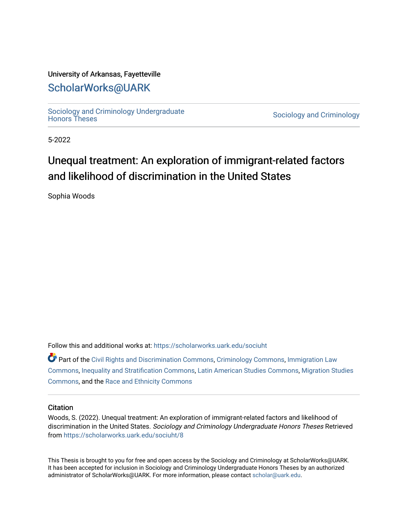#### University of Arkansas, Fayetteville

### [ScholarWorks@UARK](https://scholarworks.uark.edu/)

Sociology and Criminology Undergraduate<br>Honors Theses

Sociology and Criminology

5-2022

# Unequal treatment: An exploration of immigrant-related factors and likelihood of discrimination in the United States

Sophia Woods

Follow this and additional works at: [https://scholarworks.uark.edu/sociuht](https://scholarworks.uark.edu/sociuht?utm_source=scholarworks.uark.edu%2Fsociuht%2F8&utm_medium=PDF&utm_campaign=PDFCoverPages) 

| Part of the Civil Rights and Discrimination Commons, Criminology Commons, Immigration Law         |
|---------------------------------------------------------------------------------------------------|
| Commons, Inequality and Stratification Commons, Latin American Studies Commons, Migration Studies |
| Commons, and the Race and Ethnicity Commons                                                       |

#### **Citation**

Woods, S. (2022). Unequal treatment: An exploration of immigrant-related factors and likelihood of discrimination in the United States. Sociology and Criminology Undergraduate Honors Theses Retrieved from [https://scholarworks.uark.edu/sociuht/8](https://scholarworks.uark.edu/sociuht/8?utm_source=scholarworks.uark.edu%2Fsociuht%2F8&utm_medium=PDF&utm_campaign=PDFCoverPages) 

This Thesis is brought to you for free and open access by the Sociology and Criminology at ScholarWorks@UARK. It has been accepted for inclusion in Sociology and Criminology Undergraduate Honors Theses by an authorized administrator of ScholarWorks@UARK. For more information, please contact [scholar@uark.edu](mailto:scholar@uark.edu).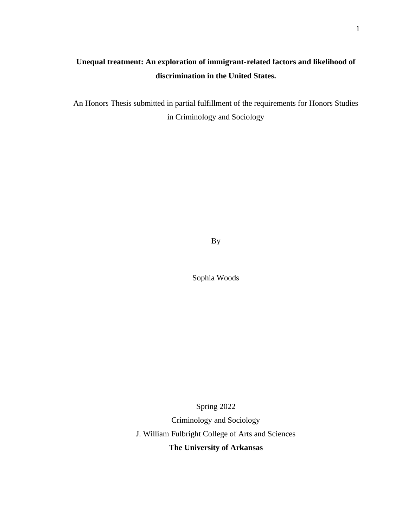### **Unequal treatment: An exploration of immigrant-related factors and likelihood of discrimination in the United States.**

An Honors Thesis submitted in partial fulfillment of the requirements for Honors Studies in Criminology and Sociology

By

Sophia Woods

Spring 2022

Criminology and Sociology

J. William Fulbright College of Arts and Sciences

**The University of Arkansas**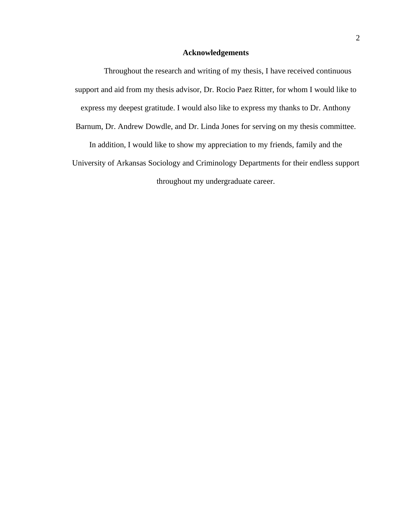#### **Acknowledgements**

Throughout the research and writing of my thesis, I have received continuous support and aid from my thesis advisor, Dr. Rocio Paez Ritter, for whom I would like to express my deepest gratitude. I would also like to express my thanks to Dr. Anthony Barnum, Dr. Andrew Dowdle, and Dr. Linda Jones for serving on my thesis committee. In addition, I would like to show my appreciation to my friends, family and the University of Arkansas Sociology and Criminology Departments for their endless support throughout my undergraduate career.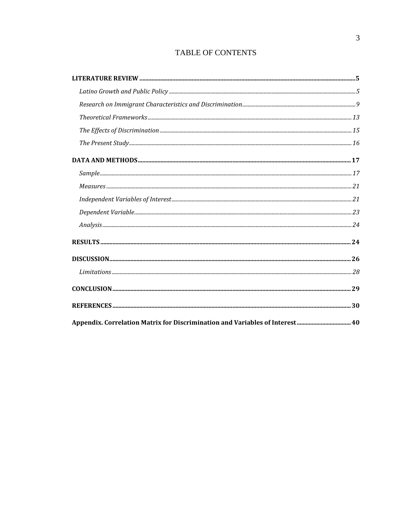### TABLE OF CONTENTS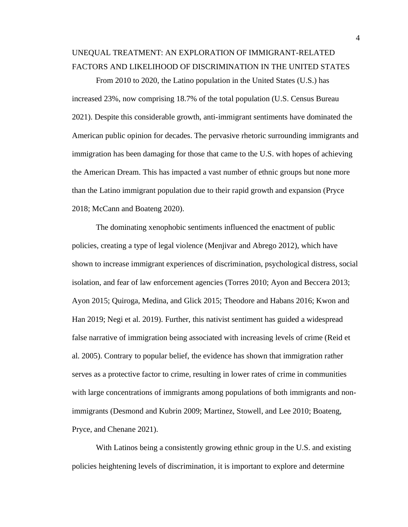## UNEQUAL TREATMENT: AN EXPLORATION OF IMMIGRANT-RELATED FACTORS AND LIKELIHOOD OF DISCRIMINATION IN THE UNITED STATES

From 2010 to 2020, the Latino population in the United States (U.S.) has increased 23%, now comprising 18.7% of the total population (U.S. Census Bureau 2021). Despite this considerable growth, anti-immigrant sentiments have dominated the American public opinion for decades. The pervasive rhetoric surrounding immigrants and immigration has been damaging for those that came to the U.S. with hopes of achieving the American Dream. This has impacted a vast number of ethnic groups but none more than the Latino immigrant population due to their rapid growth and expansion (Pryce 2018; McCann and Boateng 2020).

The dominating xenophobic sentiments influenced the enactment of public policies, creating a type of legal violence (Menjivar and Abrego 2012), which have shown to increase immigrant experiences of discrimination, psychological distress, social isolation, and fear of law enforcement agencies (Torres 2010; Ayon and Beccera 2013; Ayon 2015; Quiroga, Medina, and Glick 2015; Theodore and Habans 2016; Kwon and Han 2019; Negi et al. 2019). Further, this nativist sentiment has guided a widespread false narrative of immigration being associated with increasing levels of crime (Reid et al. 2005). Contrary to popular belief, the evidence has shown that immigration rather serves as a protective factor to crime, resulting in lower rates of crime in communities with large concentrations of immigrants among populations of both immigrants and nonimmigrants (Desmond and Kubrin 2009; Martinez, Stowell, and Lee 2010; Boateng, Pryce, and Chenane 2021).

With Latinos being a consistently growing ethnic group in the U.S. and existing policies heightening levels of discrimination, it is important to explore and determine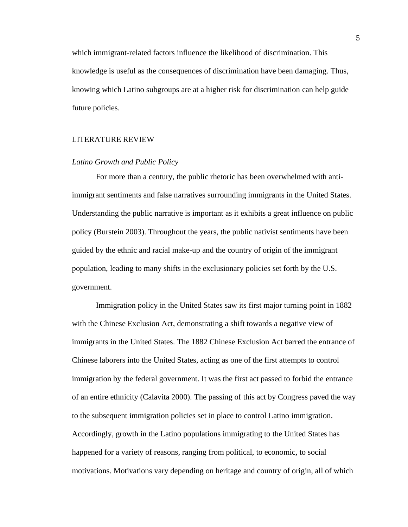which immigrant-related factors influence the likelihood of discrimination. This knowledge is useful as the consequences of discrimination have been damaging. Thus, knowing which Latino subgroups are at a higher risk for discrimination can help guide future policies.

#### <span id="page-5-0"></span>LITERATURE REVIEW

#### <span id="page-5-1"></span>*Latino Growth and Public Policy*

For more than a century, the public rhetoric has been overwhelmed with antiimmigrant sentiments and false narratives surrounding immigrants in the United States. Understanding the public narrative is important as it exhibits a great influence on public policy (Burstein 2003). Throughout the years, the public nativist sentiments have been guided by the ethnic and racial make-up and the country of origin of the immigrant population, leading to many shifts in the exclusionary policies set forth by the U.S. government.

Immigration policy in the United States saw its first major turning point in 1882 with the Chinese Exclusion Act, demonstrating a shift towards a negative view of immigrants in the United States. The 1882 Chinese Exclusion Act barred the entrance of Chinese laborers into the United States, acting as one of the first attempts to control immigration by the federal government. It was the first act passed to forbid the entrance of an entire ethnicity (Calavita 2000). The passing of this act by Congress paved the way to the subsequent immigration policies set in place to control Latino immigration. Accordingly, growth in the Latino populations immigrating to the United States has happened for a variety of reasons, ranging from political, to economic, to social motivations. Motivations vary depending on heritage and country of origin, all of which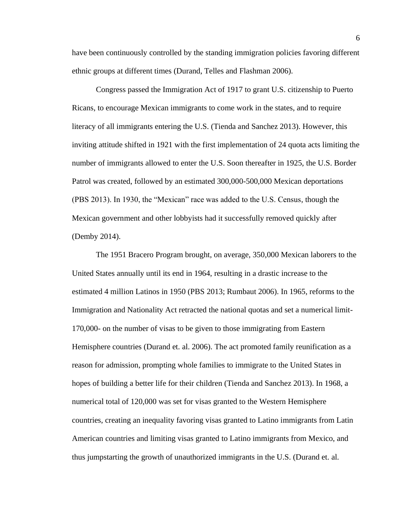have been continuously controlled by the standing immigration policies favoring different ethnic groups at different times (Durand, Telles and Flashman 2006).

Congress passed the Immigration Act of 1917 to grant U.S. citizenship to Puerto Ricans, to encourage Mexican immigrants to come work in the states, and to require literacy of all immigrants entering the U.S. (Tienda and Sanchez 2013). However, this inviting attitude shifted in 1921 with the first implementation of 24 quota acts limiting the number of immigrants allowed to enter the U.S. Soon thereafter in 1925, the U.S. Border Patrol was created, followed by an estimated 300,000-500,000 Mexican deportations (PBS 2013). In 1930, the "Mexican" race was added to the U.S. Census, though the Mexican government and other lobbyists had it successfully removed quickly after (Demby 2014).

The 1951 Bracero Program brought, on average, 350,000 Mexican laborers to the United States annually until its end in 1964, resulting in a drastic increase to the estimated 4 million Latinos in 1950 (PBS 2013; Rumbaut 2006). In 1965, reforms to the Immigration and Nationality Act retracted the national quotas and set a numerical limit-170,000- on the number of visas to be given to those immigrating from Eastern Hemisphere countries (Durand et. al. 2006). The act promoted family reunification as a reason for admission, prompting whole families to immigrate to the United States in hopes of building a better life for their children (Tienda and Sanchez 2013). In 1968, a numerical total of 120,000 was set for visas granted to the Western Hemisphere countries, creating an inequality favoring visas granted to Latino immigrants from Latin American countries and limiting visas granted to Latino immigrants from Mexico, and thus jumpstarting the growth of unauthorized immigrants in the U.S. (Durand et. al.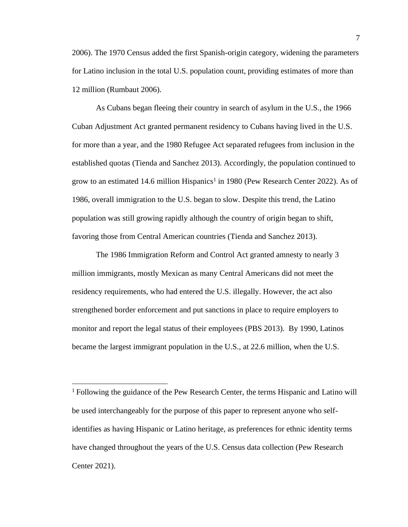2006). The 1970 Census added the first Spanish-origin category, widening the parameters for Latino inclusion in the total U.S. population count, providing estimates of more than 12 million (Rumbaut 2006).

As Cubans began fleeing their country in search of asylum in the U.S., the 1966 Cuban Adjustment Act granted permanent residency to Cubans having lived in the U.S. for more than a year, and the 1980 Refugee Act separated refugees from inclusion in the established quotas (Tienda and Sanchez 2013). Accordingly, the population continued to grow to an estimated 14.6 million Hispanics<sup>1</sup> in 1980 (Pew Research Center 2022). As of 1986, overall immigration to the U.S. began to slow. Despite this trend, the Latino population was still growing rapidly although the country of origin began to shift, favoring those from Central American countries (Tienda and Sanchez 2013).

The 1986 Immigration Reform and Control Act granted amnesty to nearly 3 million immigrants, mostly Mexican as many Central Americans did not meet the residency requirements, who had entered the U.S. illegally. However, the act also strengthened border enforcement and put sanctions in place to require employers to monitor and report the legal status of their employees (PBS 2013). By 1990, Latinos became the largest immigrant population in the U.S., at 22.6 million, when the U.S.

<sup>1</sup> Following the guidance of the Pew Research Center, the terms Hispanic and Latino will be used interchangeably for the purpose of this paper to represent anyone who selfidentifies as having Hispanic or Latino heritage, as preferences for ethnic identity terms have changed throughout the years of the U.S. Census data collection (Pew Research Center 2021).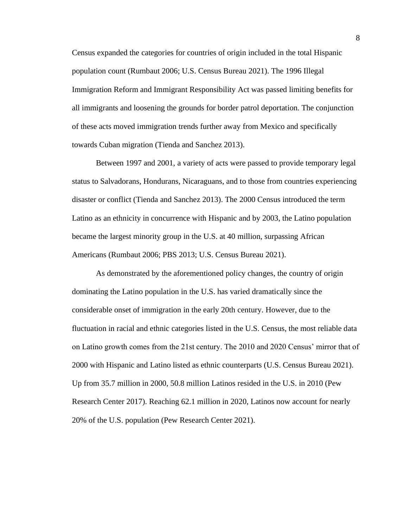Census expanded the categories for countries of origin included in the total Hispanic population count (Rumbaut 2006; U.S. Census Bureau 2021). The 1996 Illegal Immigration Reform and Immigrant Responsibility Act was passed limiting benefits for all immigrants and loosening the grounds for border patrol deportation. The conjunction of these acts moved immigration trends further away from Mexico and specifically towards Cuban migration (Tienda and Sanchez 2013).

Between 1997 and 2001, a variety of acts were passed to provide temporary legal status to Salvadorans, Hondurans, Nicaraguans, and to those from countries experiencing disaster or conflict (Tienda and Sanchez 2013). The 2000 Census introduced the term Latino as an ethnicity in concurrence with Hispanic and by 2003, the Latino population became the largest minority group in the U.S. at 40 million, surpassing African Americans (Rumbaut 2006; PBS 2013; U.S. Census Bureau 2021).

As demonstrated by the aforementioned policy changes, the country of origin dominating the Latino population in the U.S. has varied dramatically since the considerable onset of immigration in the early 20th century. However, due to the fluctuation in racial and ethnic categories listed in the U.S. Census, the most reliable data on Latino growth comes from the 21st century. The 2010 and 2020 Census' mirror that of 2000 with Hispanic and Latino listed as ethnic counterparts (U.S. Census Bureau 2021). Up from 35.7 million in 2000, 50.8 million Latinos resided in the U.S. in 2010 (Pew Research Center 2017). Reaching 62.1 million in 2020, Latinos now account for nearly 20% of the U.S. population (Pew Research Center 2021).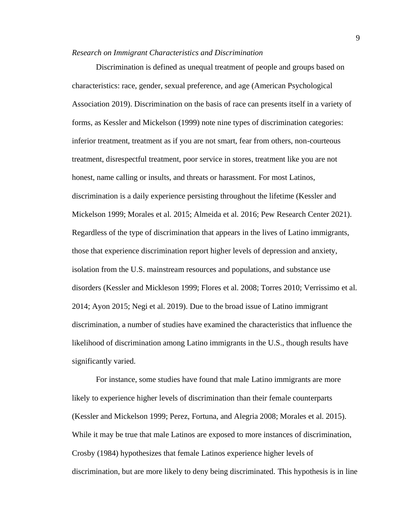#### <span id="page-9-0"></span>*Research on Immigrant Characteristics and Discrimination*

Discrimination is defined as unequal treatment of people and groups based on characteristics: race, gender, sexual preference, and age (American Psychological Association 2019). Discrimination on the basis of race can presents itself in a variety of forms, as Kessler and Mickelson (1999) note nine types of discrimination categories: inferior treatment, treatment as if you are not smart, fear from others, non-courteous treatment, disrespectful treatment, poor service in stores, treatment like you are not honest, name calling or insults, and threats or harassment. For most Latinos, discrimination is a daily experience persisting throughout the lifetime (Kessler and Mickelson 1999; Morales et al. 2015; Almeida et al. 2016; Pew Research Center 2021). Regardless of the type of discrimination that appears in the lives of Latino immigrants, those that experience discrimination report higher levels of depression and anxiety, isolation from the U.S. mainstream resources and populations, and substance use disorders (Kessler and Mickleson 1999; Flores et al. 2008; Torres 2010; Verrissimo et al. 2014; Ayon 2015; Negi et al. 2019). Due to the broad issue of Latino immigrant discrimination, a number of studies have examined the characteristics that influence the likelihood of discrimination among Latino immigrants in the U.S., though results have significantly varied.

For instance, some studies have found that male Latino immigrants are more likely to experience higher levels of discrimination than their female counterparts (Kessler and Mickelson 1999; Perez, Fortuna, and Alegria 2008; Morales et al. 2015). While it may be true that male Latinos are exposed to more instances of discrimination, Crosby (1984) hypothesizes that female Latinos experience higher levels of discrimination, but are more likely to deny being discriminated. This hypothesis is in line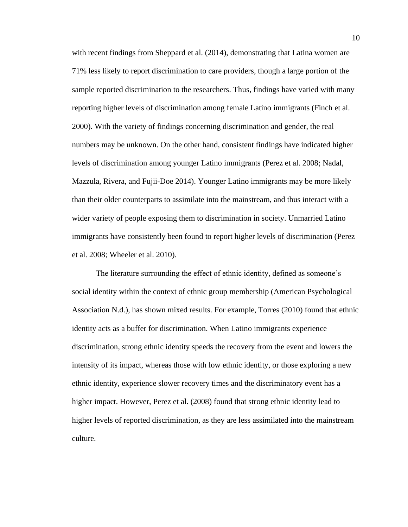with recent findings from Sheppard et al. (2014), demonstrating that Latina women are 71% less likely to report discrimination to care providers, though a large portion of the sample reported discrimination to the researchers. Thus, findings have varied with many reporting higher levels of discrimination among female Latino immigrants (Finch et al. 2000). With the variety of findings concerning discrimination and gender, the real numbers may be unknown. On the other hand, consistent findings have indicated higher levels of discrimination among younger Latino immigrants (Perez et al. 2008; Nadal, Mazzula, Rivera, and Fujii-Doe 2014). Younger Latino immigrants may be more likely than their older counterparts to assimilate into the mainstream, and thus interact with a wider variety of people exposing them to discrimination in society. Unmarried Latino immigrants have consistently been found to report higher levels of discrimination (Perez et al. 2008; Wheeler et al. 2010).

The literature surrounding the effect of ethnic identity, defined as someone's social identity within the context of ethnic group membership (American Psychological Association N.d.), has shown mixed results. For example, Torres (2010) found that ethnic identity acts as a buffer for discrimination. When Latino immigrants experience discrimination, strong ethnic identity speeds the recovery from the event and lowers the intensity of its impact, whereas those with low ethnic identity, or those exploring a new ethnic identity, experience slower recovery times and the discriminatory event has a higher impact. However, Perez et al. (2008) found that strong ethnic identity lead to higher levels of reported discrimination, as they are less assimilated into the mainstream culture.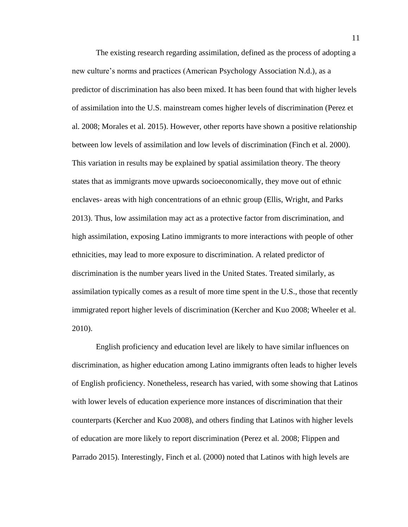The existing research regarding assimilation, defined as the process of adopting a new culture's norms and practices (American Psychology Association N.d.), as a predictor of discrimination has also been mixed. It has been found that with higher levels of assimilation into the U.S. mainstream comes higher levels of discrimination (Perez et al. 2008; Morales et al. 2015). However, other reports have shown a positive relationship between low levels of assimilation and low levels of discrimination (Finch et al. 2000). This variation in results may be explained by spatial assimilation theory. The theory states that as immigrants move upwards socioeconomically, they move out of ethnic enclaves- areas with high concentrations of an ethnic group (Ellis, Wright, and Parks 2013). Thus, low assimilation may act as a protective factor from discrimination, and high assimilation, exposing Latino immigrants to more interactions with people of other ethnicities, may lead to more exposure to discrimination. A related predictor of discrimination is the number years lived in the United States. Treated similarly, as assimilation typically comes as a result of more time spent in the U.S., those that recently immigrated report higher levels of discrimination (Kercher and Kuo 2008; Wheeler et al. 2010).

English proficiency and education level are likely to have similar influences on discrimination, as higher education among Latino immigrants often leads to higher levels of English proficiency. Nonetheless, research has varied, with some showing that Latinos with lower levels of education experience more instances of discrimination that their counterparts (Kercher and Kuo 2008), and others finding that Latinos with higher levels of education are more likely to report discrimination (Perez et al. 2008; Flippen and Parrado 2015). Interestingly, Finch et al. (2000) noted that Latinos with high levels are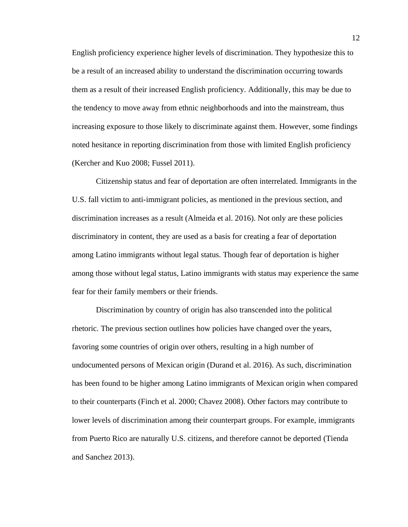English proficiency experience higher levels of discrimination. They hypothesize this to be a result of an increased ability to understand the discrimination occurring towards them as a result of their increased English proficiency. Additionally, this may be due to the tendency to move away from ethnic neighborhoods and into the mainstream, thus increasing exposure to those likely to discriminate against them. However, some findings noted hesitance in reporting discrimination from those with limited English proficiency (Kercher and Kuo 2008; Fussel 2011).

Citizenship status and fear of deportation are often interrelated. Immigrants in the U.S. fall victim to anti-immigrant policies, as mentioned in the previous section, and discrimination increases as a result (Almeida et al. 2016). Not only are these policies discriminatory in content, they are used as a basis for creating a fear of deportation among Latino immigrants without legal status. Though fear of deportation is higher among those without legal status, Latino immigrants with status may experience the same fear for their family members or their friends.

Discrimination by country of origin has also transcended into the political rhetoric. The previous section outlines how policies have changed over the years, favoring some countries of origin over others, resulting in a high number of undocumented persons of Mexican origin (Durand et al. 2016). As such, discrimination has been found to be higher among Latino immigrants of Mexican origin when compared to their counterparts (Finch et al. 2000; Chavez 2008). Other factors may contribute to lower levels of discrimination among their counterpart groups. For example, immigrants from Puerto Rico are naturally U.S. citizens, and therefore cannot be deported (Tienda and Sanchez 2013).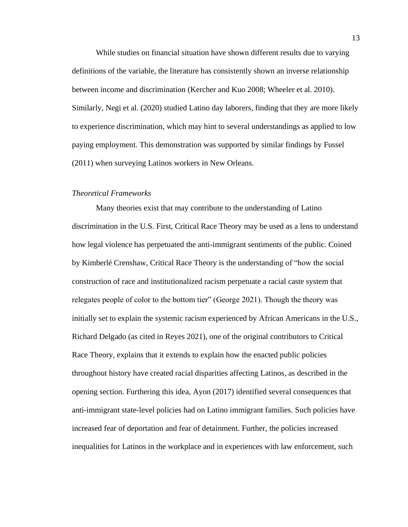While studies on financial situation have shown different results due to varying definitions of the variable, the literature has consistently shown an inverse relationship between income and discrimination (Kercher and Kuo 2008; Wheeler et al. 2010). Similarly, Negi et al. (2020) studied Latino day laborers, finding that they are more likely to experience discrimination, which may hint to several understandings as applied to low paying employment. This demonstration was supported by similar findings by Fussel (2011) when surveying Latinos workers in New Orleans.

#### <span id="page-13-0"></span>*Theoretical Frameworks*

Many theories exist that may contribute to the understanding of Latino discrimination in the U.S. First, Critical Race Theory may be used as a lens to understand how legal violence has perpetuated the anti-immigrant sentiments of the public. Coined by Kimberlé Crenshaw, Critical Race Theory is the understanding of "how the social construction of race and institutionalized racism perpetuate a racial caste system that relegates people of color to the bottom tier" (George 2021). Though the theory was initially set to explain the systemic racism experienced by African Americans in the U.S., Richard Delgado (as cited in Reyes 2021), one of the original contributors to Critical Race Theory, explains that it extends to explain how the enacted public policies throughout history have created racial disparities affecting Latinos, as described in the opening section. Furthering this idea, Ayon (2017) identified several consequences that anti-immigrant state-level policies had on Latino immigrant families. Such policies have increased fear of deportation and fear of detainment. Further, the policies increased inequalities for Latinos in the workplace and in experiences with law enforcement, such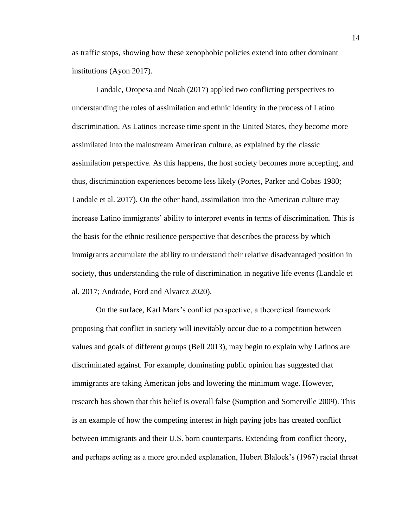as traffic stops, showing how these xenophobic policies extend into other dominant institutions (Ayon 2017).

Landale, Oropesa and Noah (2017) applied two conflicting perspectives to understanding the roles of assimilation and ethnic identity in the process of Latino discrimination. As Latinos increase time spent in the United States, they become more assimilated into the mainstream American culture, as explained by the classic assimilation perspective. As this happens, the host society becomes more accepting, and thus, discrimination experiences become less likely (Portes, Parker and Cobas 1980; Landale et al. 2017). On the other hand, assimilation into the American culture may increase Latino immigrants' ability to interpret events in terms of discrimination. This is the basis for the ethnic resilience perspective that describes the process by which immigrants accumulate the ability to understand their relative disadvantaged position in society, thus understanding the role of discrimination in negative life events (Landale et al. 2017; Andrade, Ford and Alvarez 2020).

On the surface, Karl Marx's conflict perspective, a theoretical framework proposing that conflict in society will inevitably occur due to a competition between values and goals of different groups (Bell 2013), may begin to explain why Latinos are discriminated against. For example, dominating public opinion has suggested that immigrants are taking American jobs and lowering the minimum wage. However, research has shown that this belief is overall false (Sumption and Somerville 2009). This is an example of how the competing interest in high paying jobs has created conflict between immigrants and their U.S. born counterparts. Extending from conflict theory, and perhaps acting as a more grounded explanation, Hubert Blalock's (1967) racial threat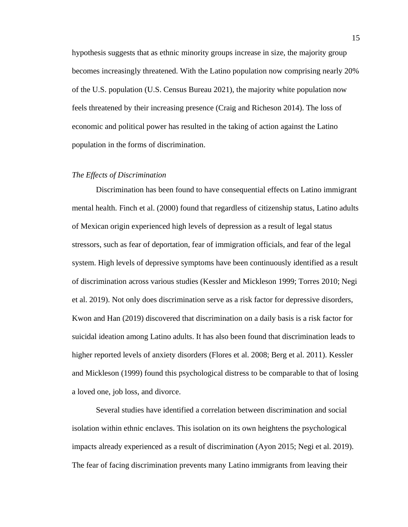hypothesis suggests that as ethnic minority groups increase in size, the majority group becomes increasingly threatened. With the Latino population now comprising nearly 20% of the U.S. population (U.S. Census Bureau 2021), the majority white population now feels threatened by their increasing presence (Craig and Richeson 2014). The loss of economic and political power has resulted in the taking of action against the Latino population in the forms of discrimination.

#### <span id="page-15-0"></span>*The Effects of Discrimination*

Discrimination has been found to have consequential effects on Latino immigrant mental health. Finch et al. (2000) found that regardless of citizenship status, Latino adults of Mexican origin experienced high levels of depression as a result of legal status stressors, such as fear of deportation, fear of immigration officials, and fear of the legal system. High levels of depressive symptoms have been continuously identified as a result of discrimination across various studies (Kessler and Mickleson 1999; Torres 2010; Negi et al. 2019). Not only does discrimination serve as a risk factor for depressive disorders, Kwon and Han (2019) discovered that discrimination on a daily basis is a risk factor for suicidal ideation among Latino adults. It has also been found that discrimination leads to higher reported levels of anxiety disorders (Flores et al. 2008; Berg et al. 2011). Kessler and Mickleson (1999) found this psychological distress to be comparable to that of losing a loved one, job loss, and divorce.

Several studies have identified a correlation between discrimination and social isolation within ethnic enclaves. This isolation on its own heightens the psychological impacts already experienced as a result of discrimination (Ayon 2015; Negi et al. 2019). The fear of facing discrimination prevents many Latino immigrants from leaving their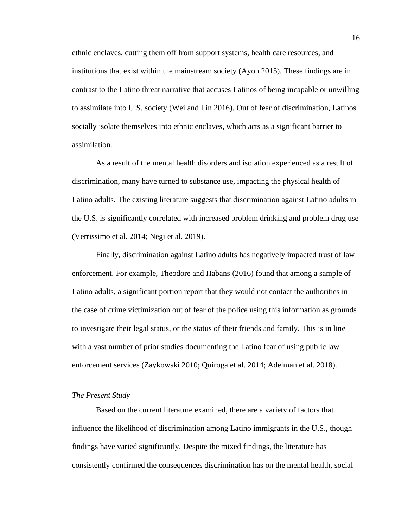ethnic enclaves, cutting them off from support systems, health care resources, and institutions that exist within the mainstream society (Ayon 2015). These findings are in contrast to the Latino threat narrative that accuses Latinos of being incapable or unwilling to assimilate into U.S. society (Wei and Lin 2016). Out of fear of discrimination, Latinos socially isolate themselves into ethnic enclaves, which acts as a significant barrier to assimilation.

As a result of the mental health disorders and isolation experienced as a result of discrimination, many have turned to substance use, impacting the physical health of Latino adults. The existing literature suggests that discrimination against Latino adults in the U.S. is significantly correlated with increased problem drinking and problem drug use (Verrissimo et al. 2014; Negi et al. 2019).

Finally, discrimination against Latino adults has negatively impacted trust of law enforcement. For example, Theodore and Habans (2016) found that among a sample of Latino adults, a significant portion report that they would not contact the authorities in the case of crime victimization out of fear of the police using this information as grounds to investigate their legal status, or the status of their friends and family. This is in line with a vast number of prior studies documenting the Latino fear of using public law enforcement services (Zaykowski 2010; Quiroga et al. 2014; Adelman et al. 2018).

#### <span id="page-16-0"></span>*The Present Study*

Based on the current literature examined, there are a variety of factors that influence the likelihood of discrimination among Latino immigrants in the U.S., though findings have varied significantly. Despite the mixed findings, the literature has consistently confirmed the consequences discrimination has on the mental health, social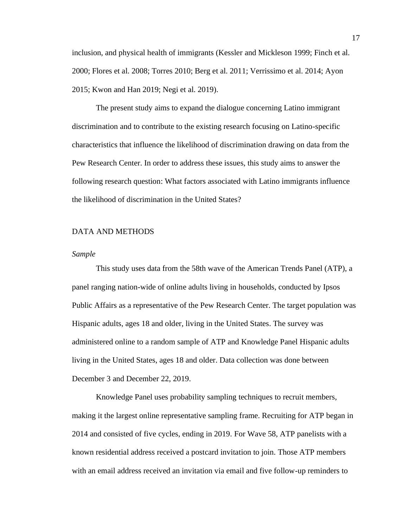inclusion, and physical health of immigrants (Kessler and Mickleson 1999; Finch et al. 2000; Flores et al. 2008; Torres 2010; Berg et al. 2011; Verrissimo et al. 2014; Ayon 2015; Kwon and Han 2019; Negi et al. 2019).

The present study aims to expand the dialogue concerning Latino immigrant discrimination and to contribute to the existing research focusing on Latino-specific characteristics that influence the likelihood of discrimination drawing on data from the Pew Research Center. In order to address these issues, this study aims to answer the following research question: What factors associated with Latino immigrants influence the likelihood of discrimination in the United States?

#### <span id="page-17-0"></span>DATA AND METHODS

#### <span id="page-17-1"></span>*Sample*

This study uses data from the 58th wave of the American Trends Panel (ATP), a panel ranging nation-wide of online adults living in households, conducted by Ipsos Public Affairs as a representative of the Pew Research Center. The target population was Hispanic adults, ages 18 and older, living in the United States. The survey was administered online to a random sample of ATP and Knowledge Panel Hispanic adults living in the United States, ages 18 and older. Data collection was done between December 3 and December 22, 2019.

Knowledge Panel uses probability sampling techniques to recruit members, making it the largest online representative sampling frame. Recruiting for ATP began in 2014 and consisted of five cycles, ending in 2019. For Wave 58, ATP panelists with a known residential address received a postcard invitation to join. Those ATP members with an email address received an invitation via email and five follow-up reminders to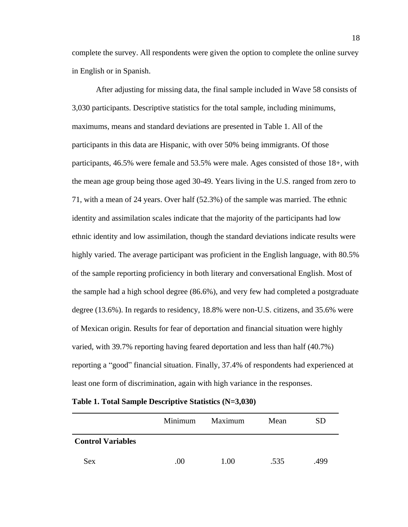complete the survey. All respondents were given the option to complete the online survey in English or in Spanish.

After adjusting for missing data, the final sample included in Wave 58 consists of 3,030 participants. Descriptive statistics for the total sample, including minimums, maximums, means and standard deviations are presented in Table 1. All of the participants in this data are Hispanic, with over 50% being immigrants. Of those participants, 46.5% were female and 53.5% were male. Ages consisted of those 18+, with the mean age group being those aged 30-49. Years living in the U.S. ranged from zero to 71, with a mean of 24 years. Over half (52.3%) of the sample was married. The ethnic identity and assimilation scales indicate that the majority of the participants had low ethnic identity and low assimilation, though the standard deviations indicate results were highly varied. The average participant was proficient in the English language, with 80.5% of the sample reporting proficiency in both literary and conversational English. Most of the sample had a high school degree (86.6%), and very few had completed a postgraduate degree (13.6%). In regards to residency, 18.8% were non-U.S. citizens, and 35.6% were of Mexican origin. Results for fear of deportation and financial situation were highly varied, with 39.7% reporting having feared deportation and less than half (40.7%) reporting a "good" financial situation. Finally, 37.4% of respondents had experienced at least one form of discrimination, again with high variance in the responses.

| Table 1. Total Sample Descriptive Statistics (N=3,030) |  |  |
|--------------------------------------------------------|--|--|
|--------------------------------------------------------|--|--|

|                          | Minimum | Maximum | Mean | <b>SD</b> |
|--------------------------|---------|---------|------|-----------|
| <b>Control Variables</b> |         |         |      |           |
| <b>Sex</b>               | .00     | 1.00    | .535 | .499      |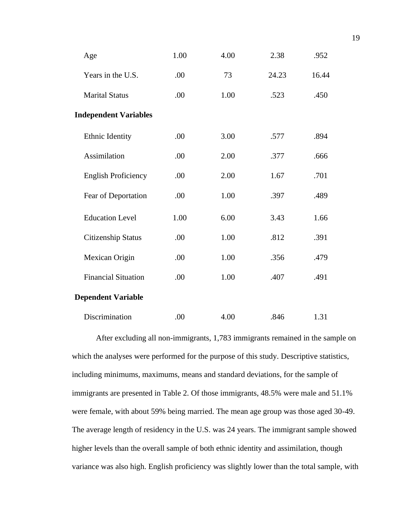| Age                          | 1.00 | 4.00 | 2.38  | .952  |
|------------------------------|------|------|-------|-------|
| Years in the U.S.            | .00  | 73   | 24.23 | 16.44 |
| <b>Marital Status</b>        | .00  | 1.00 | .523  | .450  |
| <b>Independent Variables</b> |      |      |       |       |
| Ethnic Identity              | .00  | 3.00 | .577  | .894  |
| <b>Assimilation</b>          | .00  | 2.00 | .377  | .666  |
| <b>English Proficiency</b>   | .00  | 2.00 | 1.67  | .701  |
| Fear of Deportation          | .00  | 1.00 | .397  | .489  |
| <b>Education Level</b>       | 1.00 | 6.00 | 3.43  | 1.66  |
| <b>Citizenship Status</b>    | .00  | 1.00 | .812  | .391  |
| Mexican Origin               | .00  | 1.00 | .356  | .479  |
| <b>Financial Situation</b>   | .00  | 1.00 | .407  | .491  |
| <b>Dependent Variable</b>    |      |      |       |       |
| Discrimination               | .00  | 4.00 | .846  | 1.31  |

After excluding all non-immigrants, 1,783 immigrants remained in the sample on which the analyses were performed for the purpose of this study. Descriptive statistics, including minimums, maximums, means and standard deviations, for the sample of immigrants are presented in Table 2. Of those immigrants, 48.5% were male and 51.1% were female, with about 59% being married. The mean age group was those aged 30-49. The average length of residency in the U.S. was 24 years. The immigrant sample showed higher levels than the overall sample of both ethnic identity and assimilation, though variance was also high. English proficiency was slightly lower than the total sample, with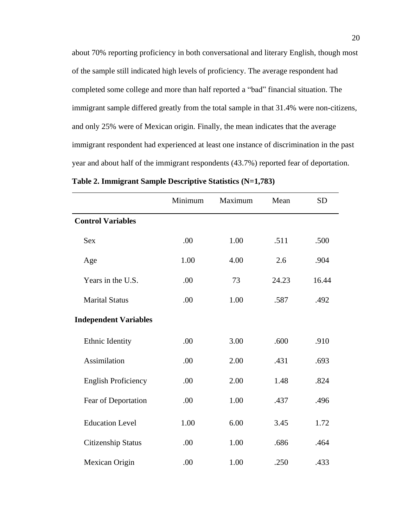about 70% reporting proficiency in both conversational and literary English, though most of the sample still indicated high levels of proficiency. The average respondent had completed some college and more than half reported a "bad" financial situation. The immigrant sample differed greatly from the total sample in that 31.4% were non-citizens, and only 25% were of Mexican origin. Finally, the mean indicates that the average immigrant respondent had experienced at least one instance of discrimination in the past year and about half of the immigrant respondents (43.7%) reported fear of deportation.

|                              | Minimum | Maximum | Mean  | <b>SD</b> |
|------------------------------|---------|---------|-------|-----------|
| <b>Control Variables</b>     |         |         |       |           |
| <b>Sex</b>                   | .00     | 1.00    | .511  | .500      |
| Age                          | 1.00    | 4.00    | 2.6   | .904      |
| Years in the U.S.            | .00     | 73      | 24.23 | 16.44     |
| <b>Marital Status</b>        | .00     | 1.00    | .587  | .492      |
| <b>Independent Variables</b> |         |         |       |           |
| Ethnic Identity              | .00     | 3.00    | .600  | .910      |
| Assimilation                 | .00     | 2.00    | .431  | .693      |
| <b>English Proficiency</b>   | .00     | 2.00    | 1.48  | .824      |
| Fear of Deportation          | .00     | 1.00    | .437  | .496      |
| <b>Education Level</b>       | 1.00    | 6.00    | 3.45  | 1.72      |
| <b>Citizenship Status</b>    | .00     | 1.00    | .686  | .464      |
| Mexican Origin               | .00     | 1.00    | .250  | .433      |

|  |  |  |  |  | Table 2. Immigrant Sample Descriptive Statistics (N=1,783) |  |
|--|--|--|--|--|------------------------------------------------------------|--|
|  |  |  |  |  |                                                            |  |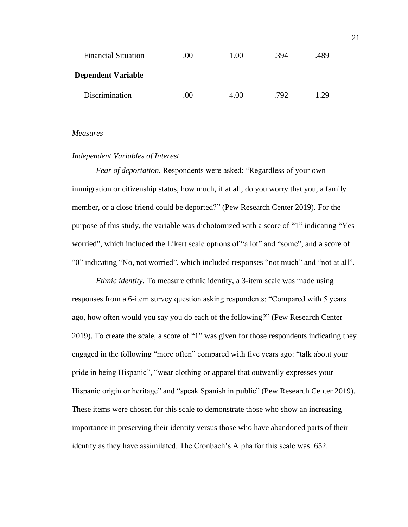| <b>Financial Situation</b> | .00. | 1.00 | .394 | .489 |
|----------------------------|------|------|------|------|
| Dependent Variable         |      |      |      |      |
| Discrimination             | .00  | 4.00 | .792 | 1.29 |

#### <span id="page-21-0"></span>*Measures*

#### <span id="page-21-1"></span>*Independent Variables of Interest*

*Fear of deportation.* Respondents were asked: "Regardless of your own immigration or citizenship status, how much, if at all, do you worry that you, a family member, or a close friend could be deported?" (Pew Research Center 2019). For the purpose of this study, the variable was dichotomized with a score of "1" indicating "Yes worried", which included the Likert scale options of "a lot" and "some", and a score of "0" indicating "No, not worried", which included responses "not much" and "not at all".

*Ethnic identity*. To measure ethnic identity, a 3-item scale was made using responses from a 6-item survey question asking respondents: "Compared with 5 years ago, how often would you say you do each of the following?" (Pew Research Center 2019). To create the scale, a score of "1" was given for those respondents indicating they engaged in the following "more often" compared with five years ago: "talk about your pride in being Hispanic", "wear clothing or apparel that outwardly expresses your Hispanic origin or heritage" and "speak Spanish in public" (Pew Research Center 2019). These items were chosen for this scale to demonstrate those who show an increasing importance in preserving their identity versus those who have abandoned parts of their identity as they have assimilated. The Cronbach's Alpha for this scale was .652.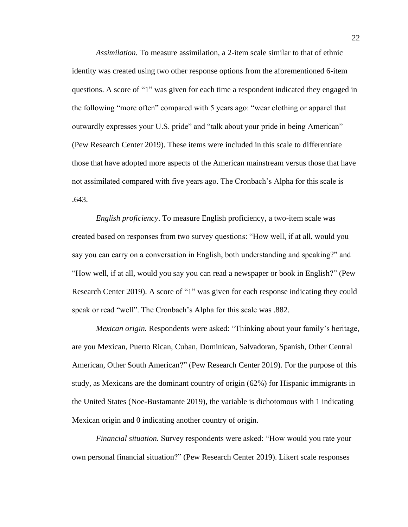*Assimilation.* To measure assimilation, a 2-item scale similar to that of ethnic identity was created using two other response options from the aforementioned 6-item questions. A score of "1" was given for each time a respondent indicated they engaged in the following "more often" compared with 5 years ago: "wear clothing or apparel that outwardly expresses your U.S. pride" and "talk about your pride in being American" (Pew Research Center 2019). These items were included in this scale to differentiate those that have adopted more aspects of the American mainstream versus those that have not assimilated compared with five years ago. The Cronbach's Alpha for this scale is .643.

*English proficiency*. To measure English proficiency, a two-item scale was created based on responses from two survey questions: "How well, if at all, would you say you can carry on a conversation in English, both understanding and speaking?" and "How well, if at all, would you say you can read a newspaper or book in English?" (Pew Research Center 2019). A score of "1" was given for each response indicating they could speak or read "well". The Cronbach's Alpha for this scale was .882.

*Mexican origin.* Respondents were asked: "Thinking about your family's heritage, are you Mexican, Puerto Rican, Cuban, Dominican, Salvadoran, Spanish, Other Central American, Other South American?" (Pew Research Center 2019). For the purpose of this study, as Mexicans are the dominant country of origin (62%) for Hispanic immigrants in the United States (Noe-Bustamante 2019), the variable is dichotomous with 1 indicating Mexican origin and 0 indicating another country of origin.

*Financial situation.* Survey respondents were asked: "How would you rate your own personal financial situation?" (Pew Research Center 2019). Likert scale responses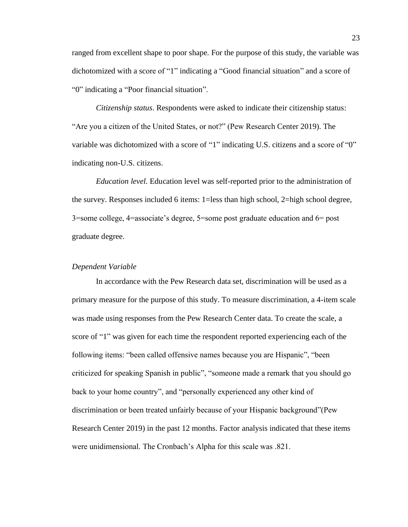ranged from excellent shape to poor shape. For the purpose of this study, the variable was dichotomized with a score of "1" indicating a "Good financial situation" and a score of "0" indicating a "Poor financial situation".

*Citizenship status*. Respondents were asked to indicate their citizenship status: "Are you a citizen of the United States, or not?" (Pew Research Center 2019). The variable was dichotomized with a score of "1" indicating U.S. citizens and a score of "0" indicating non-U.S. citizens.

*Education level.* Education level was self-reported prior to the administration of the survey. Responses included 6 items: 1=less than high school, 2=high school degree, 3=some college, 4=associate's degree, 5=some post graduate education and 6= post graduate degree.

#### <span id="page-23-0"></span>*Dependent Variable*

In accordance with the Pew Research data set, discrimination will be used as a primary measure for the purpose of this study. To measure discrimination, a 4-item scale was made using responses from the Pew Research Center data. To create the scale, a score of "1" was given for each time the respondent reported experiencing each of the following items: "been called offensive names because you are Hispanic", "been criticized for speaking Spanish in public", "someone made a remark that you should go back to your home country", and "personally experienced any other kind of discrimination or been treated unfairly because of your Hispanic background"(Pew Research Center 2019) in the past 12 months. Factor analysis indicated that these items were unidimensional. The Cronbach's Alpha for this scale was .821.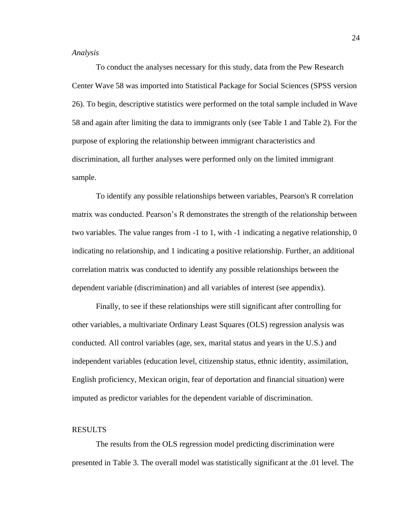#### <span id="page-24-0"></span>*Analysis*

To conduct the analyses necessary for this study, data from the Pew Research Center Wave 58 was imported into Statistical Package for Social Sciences (SPSS version 26). To begin, descriptive statistics were performed on the total sample included in Wave 58 and again after limiting the data to immigrants only (see Table 1 and Table 2). For the purpose of exploring the relationship between immigrant characteristics and discrimination, all further analyses were performed only on the limited immigrant sample.

To identify any possible relationships between variables, Pearson's R correlation matrix was conducted. Pearson's R demonstrates the strength of the relationship between two variables. The value ranges from -1 to 1, with -1 indicating a negative relationship, 0 indicating no relationship, and 1 indicating a positive relationship. Further, an additional correlation matrix was conducted to identify any possible relationships between the dependent variable (discrimination) and all variables of interest (see appendix).

Finally, to see if these relationships were still significant after controlling for other variables, a multivariate Ordinary Least Squares (OLS) regression analysis was conducted. All control variables (age, sex, marital status and years in the U.S.) and independent variables (education level, citizenship status, ethnic identity, assimilation, English proficiency, Mexican origin, fear of deportation and financial situation) were imputed as predictor variables for the dependent variable of discrimination.

#### <span id="page-24-1"></span>RESULTS

The results from the OLS regression model predicting discrimination were presented in Table 3. The overall model was statistically significant at the .01 level. The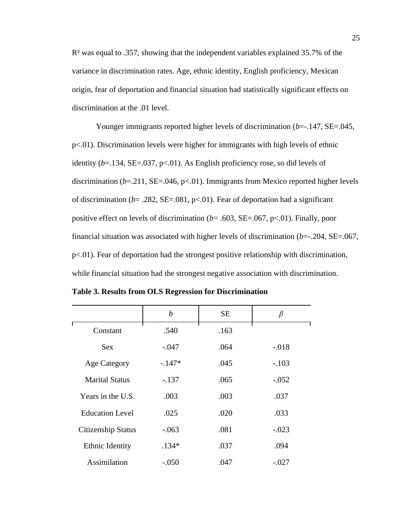R² was equal to .357, showing that the independent variables explained 35.7% of the variance in discrimination rates. Age, ethnic identity, English proficiency, Mexican origin, fear of deportation and financial situation had statistically significant effects on discrimination at the .01 level.

Younger immigrants reported higher levels of discrimination (*b*=-.147, SE=.045, p<.01). Discrimination levels were higher for immigrants with high levels of ethnic identity  $(b=134, \text{SE} = .037, \text{p} < .01)$ . As English proficiency rose, so did levels of discrimination  $(b=211, SE=.046, p<.01)$ . Immigrants from Mexico reported higher levels of discrimination ( $b = .282$ , SE=.081, p<.01). Fear of deportation had a significant positive effect on levels of discrimination (*b*= .603, SE=.067, p<.01). Finally, poor financial situation was associated with higher levels of discrimination (*b*=-.204, SE=.067, p<.01). Fear of deportation had the strongest positive relationship with discrimination, while financial situation had the strongest negative association with discrimination.

|                        | $\boldsymbol{b}$ | <b>SE</b> | β       |
|------------------------|------------------|-----------|---------|
| Constant               | .540             | .163      |         |
| Sex.                   | $-.047$          | .064      | $-.018$ |
| <b>Age Category</b>    | $-.147*$         | .045      | $-.103$ |
| <b>Marital Status</b>  | $-.137$          | .065      | $-.052$ |
| Years in the U.S.      | .003             | .003      | .037    |
| <b>Education Level</b> | .025             | .020      | .033    |
| Citizenship Status     | $-.063$          | .081      | $-.023$ |
| Ethnic Identity        | $.134*$          | .037      | .094    |
| Assimilation           | $-.050$          | .047      | $-.027$ |

**Table 3. Results from OLS Regression for Discrimination**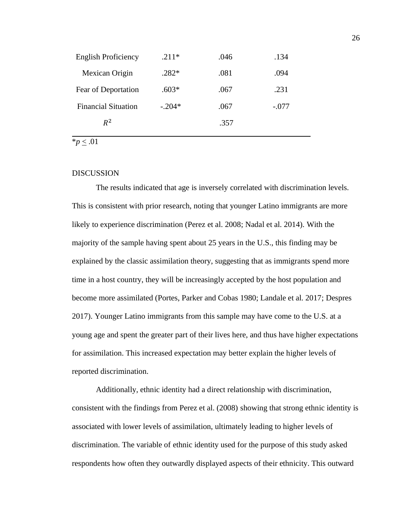| <b>English Proficiency</b> | $.211*$  | .046 | .134    |
|----------------------------|----------|------|---------|
| Mexican Origin             | $.282*$  | .081 | .094    |
| Fear of Deportation        | $.603*$  | .067 | .231    |
| <b>Financial Situation</b> | $-.204*$ | .067 | $-.077$ |
| $R^2$                      |          | .357 |         |
|                            |          |      |         |

\**p* < .01

#### <span id="page-26-0"></span>**DISCUSSION**

The results indicated that age is inversely correlated with discrimination levels. This is consistent with prior research, noting that younger Latino immigrants are more likely to experience discrimination (Perez et al. 2008; Nadal et al. 2014). With the majority of the sample having spent about 25 years in the U.S., this finding may be explained by the classic assimilation theory, suggesting that as immigrants spend more time in a host country, they will be increasingly accepted by the host population and become more assimilated (Portes, Parker and Cobas 1980; Landale et al. 2017; Despres 2017). Younger Latino immigrants from this sample may have come to the U.S. at a young age and spent the greater part of their lives here, and thus have higher expectations for assimilation. This increased expectation may better explain the higher levels of reported discrimination.

Additionally, ethnic identity had a direct relationship with discrimination, consistent with the findings from Perez et al. (2008) showing that strong ethnic identity is associated with lower levels of assimilation, ultimately leading to higher levels of discrimination. The variable of ethnic identity used for the purpose of this study asked respondents how often they outwardly displayed aspects of their ethnicity. This outward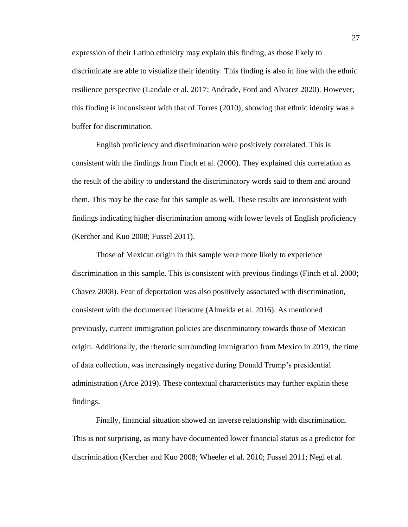expression of their Latino ethnicity may explain this finding, as those likely to discriminate are able to visualize their identity. This finding is also in line with the ethnic resilience perspective (Landale et al. 2017; Andrade, Ford and Alvarez 2020). However, this finding is inconsistent with that of Torres (2010), showing that ethnic identity was a buffer for discrimination.

English proficiency and discrimination were positively correlated. This is consistent with the findings from Finch et al. (2000). They explained this correlation as the result of the ability to understand the discriminatory words said to them and around them. This may be the case for this sample as well. These results are inconsistent with findings indicating higher discrimination among with lower levels of English proficiency (Kercher and Kuo 2008; Fussel 2011).

Those of Mexican origin in this sample were more likely to experience discrimination in this sample. This is consistent with previous findings (Finch et al. 2000; Chavez 2008). Fear of deportation was also positively associated with discrimination, consistent with the documented literature (Almeida et al. 2016). As mentioned previously, current immigration policies are discriminatory towards those of Mexican origin. Additionally, the rhetoric surrounding immigration from Mexico in 2019, the time of data collection, was increasingly negative during Donald Trump's presidential administration (Arce 2019). These contextual characteristics may further explain these findings.

Finally, financial situation showed an inverse relationship with discrimination. This is not surprising, as many have documented lower financial status as a predictor for discrimination (Kercher and Kuo 2008; Wheeler et al. 2010; Fussel 2011; Negi et al.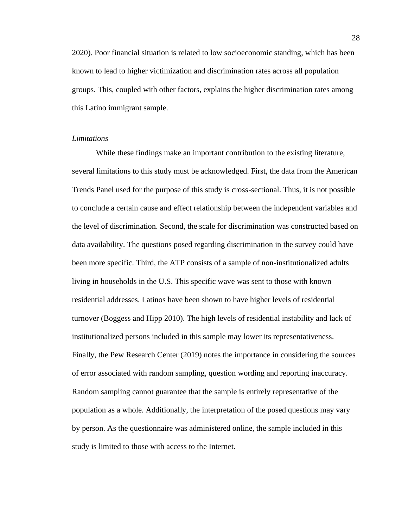2020). Poor financial situation is related to low socioeconomic standing, which has been known to lead to higher victimization and discrimination rates across all population groups. This, coupled with other factors, explains the higher discrimination rates among this Latino immigrant sample.

#### <span id="page-28-0"></span>*Limitations*

While these findings make an important contribution to the existing literature, several limitations to this study must be acknowledged. First, the data from the American Trends Panel used for the purpose of this study is cross-sectional. Thus, it is not possible to conclude a certain cause and effect relationship between the independent variables and the level of discrimination. Second, the scale for discrimination was constructed based on data availability. The questions posed regarding discrimination in the survey could have been more specific. Third, the ATP consists of a sample of non-institutionalized adults living in households in the U.S. This specific wave was sent to those with known residential addresses. Latinos have been shown to have higher levels of residential turnover (Boggess and Hipp 2010). The high levels of residential instability and lack of institutionalized persons included in this sample may lower its representativeness. Finally, the Pew Research Center (2019) notes the importance in considering the sources of error associated with random sampling, question wording and reporting inaccuracy. Random sampling cannot guarantee that the sample is entirely representative of the population as a whole. Additionally, the interpretation of the posed questions may vary by person. As the questionnaire was administered online, the sample included in this study is limited to those with access to the Internet.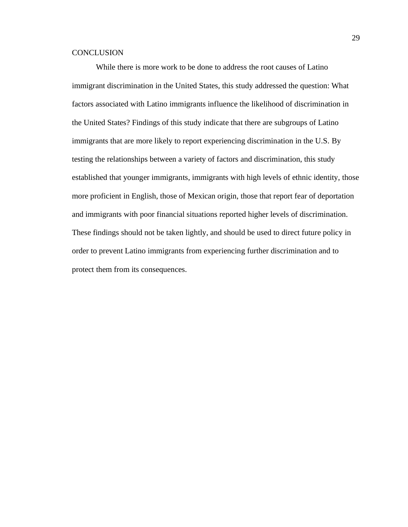#### <span id="page-29-0"></span>**CONCLUSION**

While there is more work to be done to address the root causes of Latino immigrant discrimination in the United States, this study addressed the question: What factors associated with Latino immigrants influence the likelihood of discrimination in the United States? Findings of this study indicate that there are subgroups of Latino immigrants that are more likely to report experiencing discrimination in the U.S. By testing the relationships between a variety of factors and discrimination, this study established that younger immigrants, immigrants with high levels of ethnic identity, those more proficient in English, those of Mexican origin, those that report fear of deportation and immigrants with poor financial situations reported higher levels of discrimination. These findings should not be taken lightly, and should be used to direct future policy in order to prevent Latino immigrants from experiencing further discrimination and to protect them from its consequences.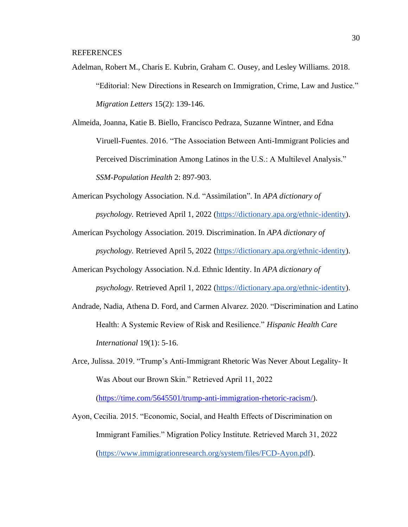<span id="page-30-0"></span>REFERENCES

Adelman, Robert M., Charis E. Kubrin, Graham C. Ousey, and Lesley Williams. 2018. "Editorial: New Directions in Research on Immigration, Crime, Law and Justice." *Migration Letters* 15(2): 139-146.

Almeida, Joanna, Katie B. Biello, Francisco Pedraza, Suzanne Wintner, and Edna Viruell-Fuentes. 2016. "The Association Between Anti-Immigrant Policies and Perceived Discrimination Among Latinos in the U.S.: A Multilevel Analysis." *SSM-Population Health* 2: 897-903.

- American Psychology Association. N.d. "Assimilation". In *APA dictionary of psychology.* Retrieved April 1, 2022 [\(https://dictionary.apa.org/ethnic-identity\)](https://dictionary.apa.org/ethnic-identity).
- American Psychology Association. 2019. Discrimination. In *APA dictionary of psychology.* Retrieved April 5, 2022 [\(https://dictionary.apa.org/ethnic-identity\)](https://dictionary.apa.org/ethnic-identity).
- American Psychology Association. N.d. Ethnic Identity. In *APA dictionary of psychology.* Retrieved April 1, 2022 [\(https://dictionary.apa.org/ethnic-identity\)](https://dictionary.apa.org/ethnic-identity).
- Andrade, Nadia, Athena D. Ford, and Carmen Alvarez. 2020. "Discrimination and Latino Health: A Systemic Review of Risk and Resilience." *Hispanic Health Care International* 19(1): 5-16.
- Arce, Julissa. 2019. "Trump's Anti-Immigrant Rhetoric Was Never About Legality- It Was About our Brown Skin." Retrieved April 11, 2022

[\(https://time.com/5645501/trump-anti-immigration-rhetoric-racism/\)](https://time.com/5645501/trump-anti-immigration-rhetoric-racism/).

Ayon, Cecilia. 2015. "Economic, Social, and Health Effects of Discrimination on Immigrant Families." Migration Policy Institute. Retrieved March 31, 2022 [\(https://www.immigrationresearch.org/system/files/FCD-Ayon.pdf\)](https://www.immigrationresearch.org/system/files/FCD-Ayon.pdf).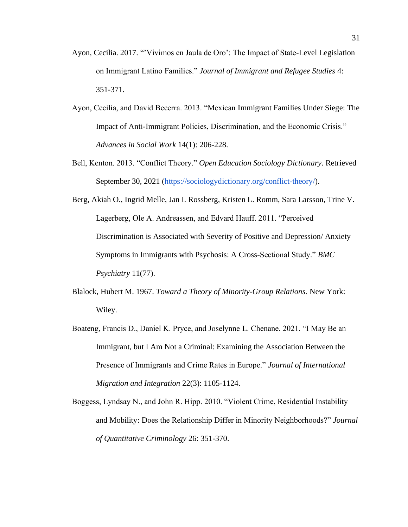- Ayon, Cecilia. 2017. "'Vivimos en Jaula de Oro': The Impact of State-Level Legislation on Immigrant Latino Families." *Journal of Immigrant and Refugee Studies* 4: 351-371.
- Ayon, Cecilia, and David Becerra. 2013. "Mexican Immigrant Families Under Siege: The Impact of Anti-Immigrant Policies, Discrimination, and the Economic Crisis." *Advances in Social Work* 14(1): 206-228.
- Bell, Kenton. 2013. "Conflict Theory." *Open Education Sociology Dictionary*. Retrieved September 30, 2021 [\(https://sociologydictionary.org/conflict-theory/\)](https://sociologydictionary.org/conflict-theory/).
- Berg, Akiah O., Ingrid Melle, Jan I. Rossberg, Kristen L. Romm, Sara Larsson, Trine V. Lagerberg, Ole A. Andreassen, and Edvard Hauff. 2011. "Perceived Discrimination is Associated with Severity of Positive and Depression/ Anxiety Symptoms in Immigrants with Psychosis: A Cross-Sectional Study." *BMC Psychiatry* 11(77).
- Blalock, Hubert M. 1967. *Toward a Theory of Minority-Group Relations.* New York: Wiley.
- Boateng, Francis D., Daniel K. Pryce, and Joselynne L. Chenane. 2021. "I May Be an Immigrant, but I Am Not a Criminal: Examining the Association Between the Presence of Immigrants and Crime Rates in Europe." *Journal of International Migration and Integration* 22(3): 1105-1124.
- Boggess, Lyndsay N., and John R. Hipp. 2010. "Violent Crime, Residential Instability and Mobility: Does the Relationship Differ in Minority Neighborhoods?" *Journal of Quantitative Criminology* 26: 351-370.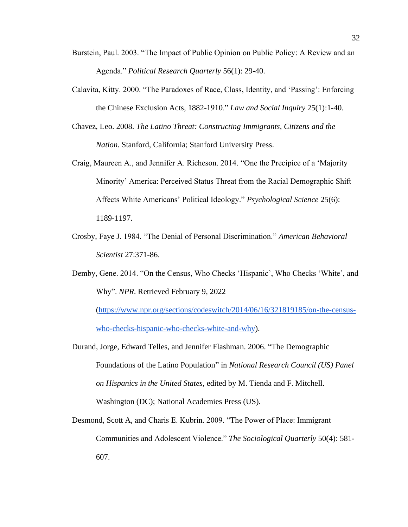- Burstein, Paul. 2003. "The Impact of Public Opinion on Public Policy: A Review and an Agenda." *Political Research Quarterly* 56(1): 29-40.
- Calavita, Kitty. 2000. "The Paradoxes of Race, Class, Identity, and 'Passing': Enforcing the Chinese Exclusion Acts, 1882-1910." *Law and Social Inquiry* 25(1):1-40.
- Chavez, Leo. 2008. *The Latino Threat: Constructing Immigrants, Citizens and the Nation*. Stanford, California; Stanford University Press.
- Craig, Maureen A., and Jennifer A. Richeson. 2014. "One the Precipice of a 'Majority Minority' America: Perceived Status Threat from the Racial Demographic Shift Affects White Americans' Political Ideology." *Psychological Science* 25(6): 1189-1197.
- Crosby, Faye J. 1984. "The Denial of Personal Discrimination." *American Behavioral Scientist* 27:371-86.

Demby, Gene. 2014. "On the Census, Who Checks 'Hispanic', Who Checks 'White', and Why". *NPR*. Retrieved February 9, 2022

[\(https://www.npr.org/sections/codeswitch/2014/06/16/321819185/on-the-census](https://www.npr.org/sections/codeswitch/2014/06/16/321819185/on-the-census-who-checks-hispanic-who-checks-white-and-why)[who-checks-hispanic-who-checks-white-and-why\)](https://www.npr.org/sections/codeswitch/2014/06/16/321819185/on-the-census-who-checks-hispanic-who-checks-white-and-why).

- Durand, Jorge, Edward Telles, and Jennifer Flashman. 2006*.* "The Demographic Foundations of the Latino Population" in *National Research Council (US) Panel on Hispanics in the United States,* edited by M. Tienda and F. Mitchell. Washington (DC); National Academies Press (US).
- Desmond, Scott A, and Charis E. Kubrin. 2009. "The Power of Place: Immigrant Communities and Adolescent Violence." *The Sociological Quarterly* 50(4): 581- 607.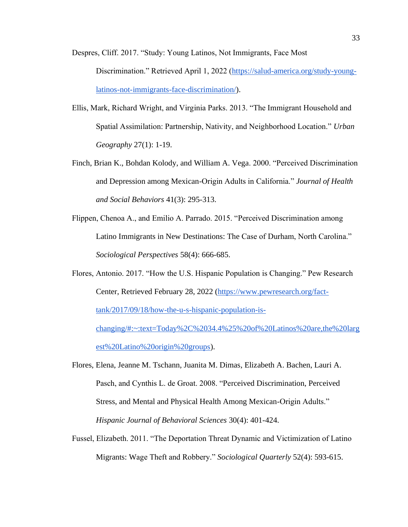Despres, Cliff. 2017. "Study: Young Latinos, Not Immigrants, Face Most Discrimination." Retrieved April 1, 2022 [\(https://salud-america.org/study-young](https://salud-america.org/study-young-latinos-not-immigrants-face-discrimination/)[latinos-not-immigrants-face-discrimination/\)](https://salud-america.org/study-young-latinos-not-immigrants-face-discrimination/).

- Ellis, Mark, Richard Wright, and Virginia Parks. 2013. "The Immigrant Household and Spatial Assimilation: Partnership, Nativity, and Neighborhood Location." *Urban Geography* 27(1): 1-19.
- Finch, Brian K., Bohdan Kolody, and William A. Vega. 2000. "Perceived Discrimination and Depression among Mexican-Origin Adults in California." *Journal of Health and Social Behaviors* 41(3): 295-313.
- Flippen, Chenoa A., and Emilio A. Parrado. 2015. "Perceived Discrimination among Latino Immigrants in New Destinations: The Case of Durham, North Carolina." *Sociological Perspectives* 58(4): 666-685.
- Flores, Antonio. 2017. "How the U.S. Hispanic Population is Changing." Pew Research Center, Retrieved February 28, 2022 [\(https://www.pewresearch.org/fact](https://www.pewresearch.org/fact-tank/2017/09/18/how-the-u-s-hispanic-population-is-changing/#:~:text=Today%2C%2034.4%25%20of%20Latinos%20are,the%20largest%20Latino%20origin%20groups)[tank/2017/09/18/how-the-u-s-hispanic-population-is](https://www.pewresearch.org/fact-tank/2017/09/18/how-the-u-s-hispanic-population-is-changing/#:~:text=Today%2C%2034.4%25%20of%20Latinos%20are,the%20largest%20Latino%20origin%20groups)[changing/#:~:text=Today%2C%2034.4%25%20of%20Latinos%20are,the%20larg](https://www.pewresearch.org/fact-tank/2017/09/18/how-the-u-s-hispanic-population-is-changing/#:~:text=Today%2C%2034.4%25%20of%20Latinos%20are,the%20largest%20Latino%20origin%20groups) [est%20Latino%20origin%20groups\)](https://www.pewresearch.org/fact-tank/2017/09/18/how-the-u-s-hispanic-population-is-changing/#:~:text=Today%2C%2034.4%25%20of%20Latinos%20are,the%20largest%20Latino%20origin%20groups).
- Flores, Elena, Jeanne M. Tschann, Juanita M. Dimas, Elizabeth A. Bachen, Lauri A. Pasch, and Cynthis L. de Groat. 2008. "Perceived Discrimination, Perceived Stress, and Mental and Physical Health Among Mexican-Origin Adults." *Hispanic Journal of Behavioral Sciences* 30(4): 401-424.
- Fussel, Elizabeth. 2011. "The Deportation Threat Dynamic and Victimization of Latino Migrants: Wage Theft and Robbery." *Sociological Quarterly* 52(4): 593-615.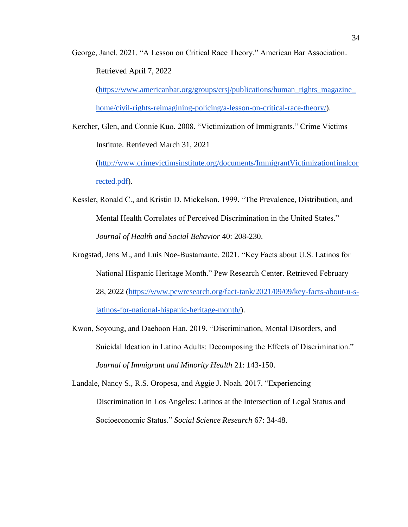George, Janel. 2021. "A Lesson on Critical Race Theory." American Bar Association. Retrieved April 7, 2022

[\(https://www.americanbar.org/groups/crsj/publications/human\\_rights\\_magazine\\_](https://www.americanbar.org/groups/crsj/publications/human_rights_magazine_home/civil-rights-reimagining-policing/a-lesson-on-critical-race-theory/) [home/civil-rights-reimagining-policing/a-lesson-on-critical-race-theory/\)](https://www.americanbar.org/groups/crsj/publications/human_rights_magazine_home/civil-rights-reimagining-policing/a-lesson-on-critical-race-theory/).

Kercher, Glen, and Connie Kuo. 2008. "Victimization of Immigrants." Crime Victims Institute. Retrieved March 31, 2021

[\(http://www.crimevictimsinstitute.org/documents/ImmigrantVictimizationfinalcor](http://www.crimevictimsinstitute.org/documents/ImmigrantVictimizationfinalcorrected.pdf) [rected.pdf\)](http://www.crimevictimsinstitute.org/documents/ImmigrantVictimizationfinalcorrected.pdf).

- Kessler, Ronald C., and Kristin D. Mickelson. 1999. "The Prevalence, Distribution, and Mental Health Correlates of Perceived Discrimination in the United States." *Journal of Health and Social Behavior* 40: 208-230.
- Krogstad, Jens M., and Luis Noe-Bustamante. 2021. "Key Facts about U.S. Latinos for National Hispanic Heritage Month." Pew Research Center. Retrieved February 28, 2022 [\(https://www.pewresearch.org/fact-tank/2021/09/09/key-facts-about-u-s](https://www.pewresearch.org/fact-tank/2021/09/09/key-facts-about-u-s-latinos-for-national-hispanic-heritage-month/)[latinos-for-national-hispanic-heritage-month/\)](https://www.pewresearch.org/fact-tank/2021/09/09/key-facts-about-u-s-latinos-for-national-hispanic-heritage-month/).
- Kwon, Soyoung, and Daehoon Han. 2019. "Discrimination, Mental Disorders, and Suicidal Ideation in Latino Adults: Decomposing the Effects of Discrimination." *Journal of Immigrant and Minority Health* 21: 143-150.

Landale, Nancy S., R.S. Oropesa, and Aggie J. Noah. 2017. "Experiencing Discrimination in Los Angeles: Latinos at the Intersection of Legal Status and Socioeconomic Status." *Social Science Research* 67: 34-48.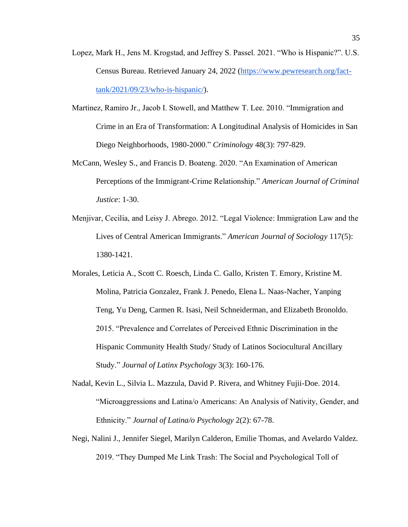- Lopez, Mark H., Jens M. Krogstad, and Jeffrey S. Passel. 2021. "Who is Hispanic?". U.S. Census Bureau. Retrieved January 24, 2022 [\(https://www.pewresearch.org/fact](https://www.pewresearch.org/fact-tank/2021/09/23/who-is-hispanic/)[tank/2021/09/23/who-is-hispanic/\)](https://www.pewresearch.org/fact-tank/2021/09/23/who-is-hispanic/).
- Martinez, Ramiro Jr., Jacob I. Stowell, and Matthew T. Lee. 2010. "Immigration and Crime in an Era of Transformation: A Longitudinal Analysis of Homicides in San Diego Neighborhoods, 1980-2000." *Criminology* 48(3): 797-829.
- McCann, Wesley S., and Francis D. Boateng. 2020. "An Examination of American Perceptions of the Immigrant-Crime Relationship." *American Journal of Criminal Justice*: 1-30.
- Menjivar, Cecilia, and Leisy J. Abrego. 2012. "Legal Violence: Immigration Law and the Lives of Central American Immigrants." *American Journal of Sociology* 117(5): 1380-1421.
- Morales, Leticia A., Scott C. Roesch, Linda C. Gallo, Kristen T. Emory, Kristine M. Molina, Patricia Gonzalez, Frank J. Penedo, Elena L. Naas-Nacher, Yanping Teng, Yu Deng, Carmen R. Isasi, Neil Schneiderman, and Elizabeth Bronoldo. 2015. "Prevalence and Correlates of Perceived Ethnic Discrimination in the Hispanic Community Health Study/ Study of Latinos Sociocultural Ancillary Study." *Journal of Latinx Psychology* 3(3): 160-176.
- Nadal, Kevin L., Silvia L. Mazzula, David P. Rivera, and Whitney Fujii-Doe. 2014. "Microaggressions and Latina/o Americans: An Analysis of Nativity, Gender, and Ethnicity." *Journal of Latina/o Psychology* 2(2): 67-78.
- Negi, Nalini J., Jennifer Siegel, Marilyn Calderon, Emilie Thomas, and Avelardo Valdez. 2019. "They Dumped Me Link Trash: The Social and Psychological Toll of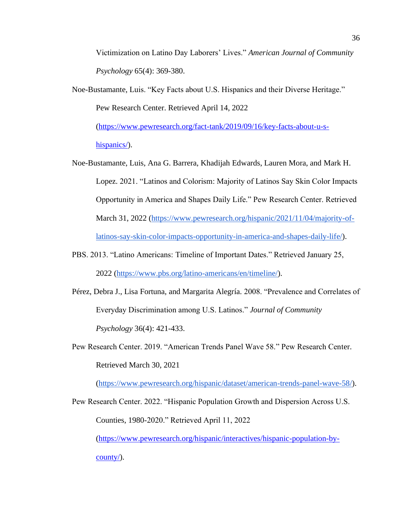Victimization on Latino Day Laborers' Lives." *American Journal of Community Psychology* 65(4): 369-380.

Noe-Bustamante, Luis. "Key Facts about U.S. Hispanics and their Diverse Heritage." Pew Research Center. Retrieved April 14, 2022

[\(https://www.pewresearch.org/fact-tank/2019/09/16/key-facts-about-u-s](https://www.pewresearch.org/fact-tank/2019/09/16/key-facts-about-u-s-hispanics/)[hispanics/\)](https://www.pewresearch.org/fact-tank/2019/09/16/key-facts-about-u-s-hispanics/).

- Noe-Bustamante, Luis, Ana G. Barrera, Khadijah Edwards, Lauren Mora, and Mark H. Lopez. 2021. "Latinos and Colorism: Majority of Latinos Say Skin Color Impacts Opportunity in America and Shapes Daily Life." Pew Research Center. Retrieved March 31, 2022 [\(https://www.pewresearch.org/hispanic/2021/11/04/majority-of](https://www.pewresearch.org/hispanic/2021/11/04/majority-of-latinos-say-skin-color-impacts-opportunity-in-america-and-shapes-daily-life/)[latinos-say-skin-color-impacts-opportunity-in-america-and-shapes-daily-life/\)](https://www.pewresearch.org/hispanic/2021/11/04/majority-of-latinos-say-skin-color-impacts-opportunity-in-america-and-shapes-daily-life/).
- PBS. 2013. "Latino Americans: Timeline of Important Dates." Retrieved January 25, 2022 [\(https://www.pbs.org/latino-americans/en/timeline/\)](https://www.pbs.org/latino-americans/en/timeline/).
- Pérez, Debra J., Lisa Fortuna, and Margarita Alegría. 2008. "Prevalence and Correlates of Everyday Discrimination among U.S. Latinos." *Journal of Community Psychology* 36(4): 421-433.
- Pew Research Center. 2019. "American Trends Panel Wave 58." Pew Research Center. Retrieved March 30, 2021

[\(https://www.pewresearch.org/hispanic/dataset/american-trends-panel-wave-58/\)](https://www.pewresearch.org/hispanic/dataset/american-trends-panel-wave-58/).

Pew Research Center. 2022. "Hispanic Population Growth and Dispersion Across U.S. Counties, 1980-2020." Retrieved April 11, 2022 [\(https://www.pewresearch.org/hispanic/interactives/hispanic-population-by-](https://www.pewresearch.org/hispanic/interactives/hispanic-population-by-county/)

[county/\)](https://www.pewresearch.org/hispanic/interactives/hispanic-population-by-county/).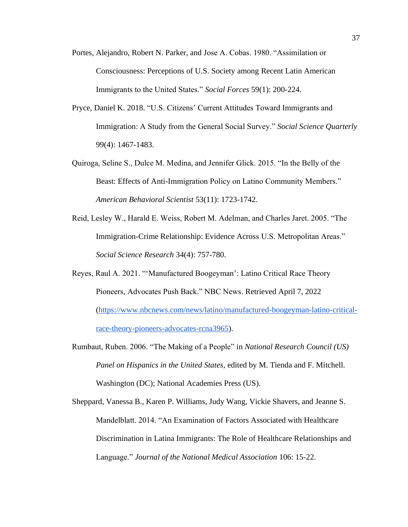- Portes, Alejandro, Robert N. Parker, and Jose A. Cobas. 1980. "Assimilation or Consciousness: Perceptions of U.S. Society among Recent Latin American Immigrants to the United States." *Social Forces* 59(1): 200-224.
- Pryce, Daniel K. 2018. "U.S. Citizens' Current Attitudes Toward Immigrants and Immigration: A Study from the General Social Survey." *Social Science Quarterly*  99(4): 1467-1483.
- Quiroga, Seline S., Dulce M. Medina, and Jennifer Glick. 2015. "In the Belly of the Beast: Effects of Anti-Immigration Policy on Latino Community Members." *American Behavioral Scientist* 53(11): 1723-1742.
- Reid, Lesley W., Harald E. Weiss, Robert M. Adelman, and Charles Jaret. 2005. "The Immigration-Crime Relationship: Evidence Across U.S. Metropolitan Areas." *Social Science Research* 34(4): 757-780.
- Reyes, Raul A. 2021. "'Manufactured Boogeyman': Latino Critical Race Theory Pioneers, Advocates Push Back." NBC News. Retrieved April 7, 2022 [\(https://www.nbcnews.com/news/latino/manufactured-boogeyman-latino-critical](https://www.nbcnews.com/news/latino/manufactured-boogeyman-latino-critical-race-theory-pioneers-advocates-rcna3965)[race-theory-pioneers-advocates-rcna3965\)](https://www.nbcnews.com/news/latino/manufactured-boogeyman-latino-critical-race-theory-pioneers-advocates-rcna3965).
- Rumbaut, Ruben. 2006. "The Making of a People" in *National Research Council (US) Panel on Hispanics in the United States,* edited by M. Tienda and F. Mitchell. Washington (DC); National Academies Press (US).
- Sheppard, Vanessa B., Karen P. Williams, Judy Wang, Vickie Shavers, and Jeanne S. Mandelblatt. 2014. "An Examination of Factors Associated with Healthcare Discrimination in Latina Immigrants: The Role of Healthcare Relationships and Language." *Journal of the National Medical Association* 106: 15-22.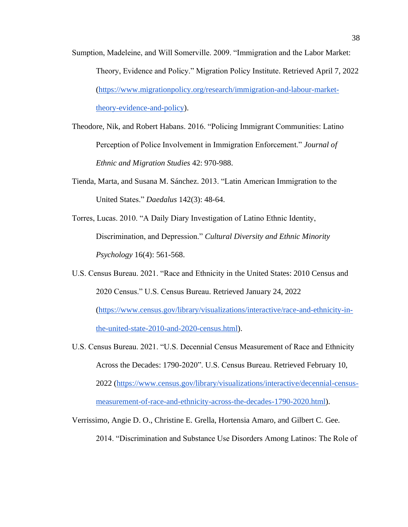- Sumption, Madeleine, and Will Somerville. 2009. "Immigration and the Labor Market: Theory, Evidence and Policy." Migration Policy Institute. Retrieved April 7, 2022 [\(https://www.migrationpolicy.org/research/immigration-and-labour-market](https://www.migrationpolicy.org/research/immigration-and-labour-market-theory-evidence-and-policy)[theory-evidence-and-policy\)](https://www.migrationpolicy.org/research/immigration-and-labour-market-theory-evidence-and-policy).
- Theodore, Nik, and Robert Habans. 2016. "Policing Immigrant Communities: Latino Perception of Police Involvement in Immigration Enforcement." *Journal of Ethnic and Migration Studies* 42: 970-988.
- Tienda, Marta, and Susana M. Sánchez. 2013. "Latin American Immigration to the United States." *Daedalus* 142(3): 48-64.
- Torres, Lucas. 2010. "A Daily Diary Investigation of Latino Ethnic Identity, Discrimination, and Depression." *Cultural Diversity and Ethnic Minority Psychology* 16(4): 561-568.
- U.S. Census Bureau. 2021. "Race and Ethnicity in the United States: 2010 Census and 2020 Census." U.S. Census Bureau. Retrieved January 24, 2022 [\(https://www.census.gov/library/visualizations/interactive/race-and-ethnicity-in](https://www.census.gov/library/visualizations/interactive/race-and-ethnicity-in-the-united-state-2010-and-2020-census.html)[the-united-state-2010-and-2020-census.html\)](https://www.census.gov/library/visualizations/interactive/race-and-ethnicity-in-the-united-state-2010-and-2020-census.html).
- U.S. Census Bureau. 2021. "U.S. Decennial Census Measurement of Race and Ethnicity Across the Decades: 1790-2020". U.S. Census Bureau. Retrieved February 10, 2022 [\(https://www.census.gov/library/visualizations/interactive/decennial-census](https://www.census.gov/library/visualizations/interactive/decennial-census-measurement-of-race-and-ethnicity-across-the-decades-1790-2020.html)[measurement-of-race-and-ethnicity-across-the-decades-1790-2020.html\)](https://www.census.gov/library/visualizations/interactive/decennial-census-measurement-of-race-and-ethnicity-across-the-decades-1790-2020.html).
- Verrissimo, Angie D. O., Christine E. Grella, Hortensia Amaro, and Gilbert C. Gee. 2014. "Discrimination and Substance Use Disorders Among Latinos: The Role of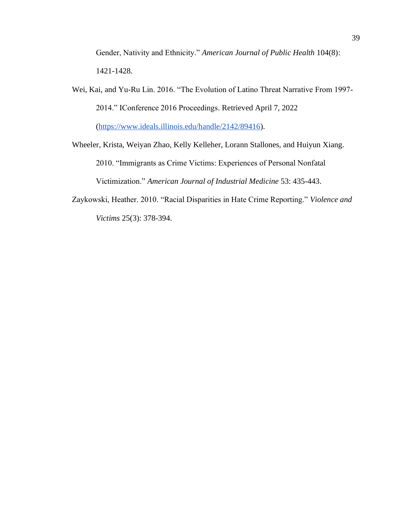Gender, Nativity and Ethnicity." *American Journal of Public Health* 104(8): 1421-1428.

Wei, Kai, and Yu-Ru Lin. 2016. "The Evolution of Latino Threat Narrative From 1997- 2014." IConference 2016 Proceedings. Retrieved April 7, 2022 [\(https://www.ideals.illinois.edu/handle/2142/89416\)](https://www.ideals.illinois.edu/handle/2142/89416).

Wheeler, Krista, Weiyan Zhao, Kelly Kelleher, Lorann Stallones, and Huiyun Xiang. 2010. "Immigrants as Crime Victims: Experiences of Personal Nonfatal Victimization." *American Journal of Industrial Medicine* 53: 435-443.

Zaykowski, Heather. 2010. "Racial Disparities in Hate Crime Reporting." *Violence and Victims* 25(3): 378-394.